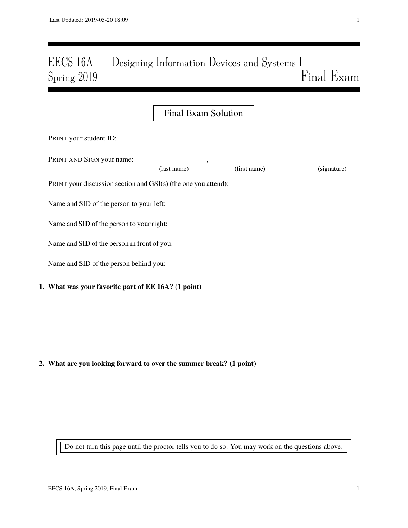# EECS 16A Designing Information Devices and Systems I Spring 2019 Final Exam

|                                                                     | <b>Final Exam Solution</b> |              |             |
|---------------------------------------------------------------------|----------------------------|--------------|-------------|
| PRINT your student ID:                                              |                            |              |             |
|                                                                     | $u$ st name)               | (first name) | (signature) |
| PRINT your discussion section and $GSI(s)$ (the one you attend):    |                            |              |             |
|                                                                     |                            |              |             |
|                                                                     |                            |              |             |
|                                                                     |                            |              |             |
|                                                                     |                            |              |             |
| 1. What was your favorite part of EE 16A? (1 point)                 |                            |              |             |
|                                                                     |                            |              |             |
|                                                                     |                            |              |             |
|                                                                     |                            |              |             |
| 2. What are you looking forward to over the summer break? (1 point) |                            |              |             |

Do not turn this page until the proctor tells you to do so. You may work on the questions above.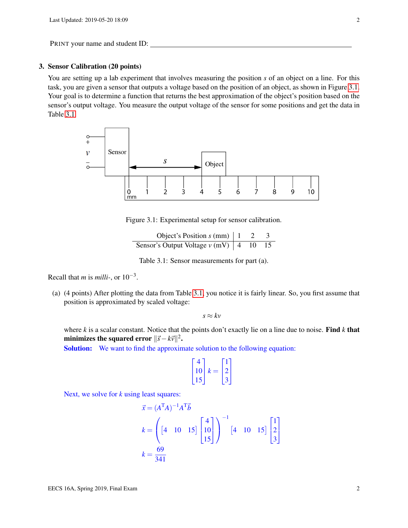## 3. Sensor Calibration (20 points)

You are setting up a lab experiment that involves measuring the position *s* of an object on a line. For this task, you are given a sensor that outputs a voltage based on the position of an object, as shown in Figure [3.1.](#page-1-0) Your goal is to determine a function that returns the best approximation of the object's position based on the sensor's output voltage. You measure the output voltage of the sensor for some positions and get the data in Table [3.1.](#page-1-1)

<span id="page-1-0"></span>

Figure 3.1: Experimental setup for sensor calibration.

Object's Position  $s$  (mm)  $\begin{vmatrix} 1 & 2 & 3 \end{vmatrix}$ Sensor's Output Voltage  $v$  (mV)  $\begin{vmatrix} 4 & 10 & 15 \end{vmatrix}$ 

Table 3.1: Sensor measurements for part (a).

<span id="page-1-1"></span>Recall that *m* is *milli-*, or 10−<sup>3</sup> .

(a) (4 points) After plotting the data from Table [3.1,](#page-1-1) you notice it is fairly linear. So, you first assume that position is approximated by scaled voltage:

 $s \approx kv$ 

where *k* is a scalar constant. Notice that the points don't exactly lie on a line due to noise. Find *k* that minimizes the squared error  $\|\vec{s}-k\vec{v}\|^2$ .

Solution: We want to find the approximate solution to the following equation:

$$
\begin{bmatrix} 4 \\ 10 \\ 15 \end{bmatrix} k = \begin{bmatrix} 1 \\ 2 \\ 3 \end{bmatrix}
$$

Next, we solve for *k* using least squares:

$$
\vec{x} = (A^{T}A)^{-1}A^{T}\vec{b}
$$
\n
$$
k = \left( \begin{bmatrix} 4 & 10 & 15 \end{bmatrix} \begin{bmatrix} 4 \\ 10 \\ 15 \end{bmatrix} \right)^{-1} \begin{bmatrix} 4 & 10 & 15 \end{bmatrix} \begin{bmatrix} 1 \\ 2 \\ 3 \end{bmatrix}
$$
\n
$$
k = \frac{69}{341}
$$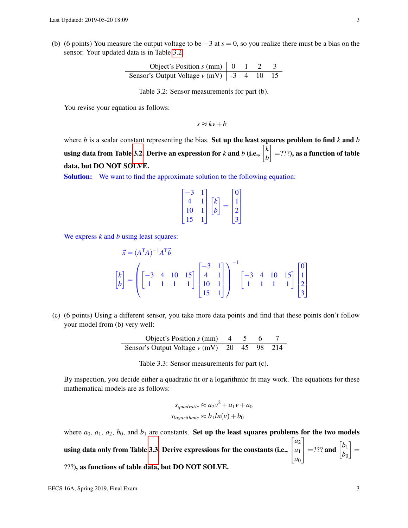<span id="page-2-0"></span>(b) (6 points) You measure the output voltage to be −3 at *s* = 0, so you realize there must be a bias on the sensor. Your updated data is in Table [3.2.](#page-2-0)

| Object's Position $s$ (mm)       | 0  | 1 | 2  | 3  |
|----------------------------------|----|---|----|----|
| Sensor's Output Voltage $v$ (mV) | -3 | 4 | 10 | 15 |

Table 3.2: Sensor measurements for part (b).

You revise your equation as follows:

$$
s \approx kv + b
$$

where *b* is a scalar constant representing the bias. Set up the least squares problem to find  $k$  and  $b$ using data from Table [3.2.](#page-2-0) Derive an expression for *k* and *b* (i.e.,  $\begin{bmatrix} k \ n \end{bmatrix}$ *b*  $\Big] =$ ???), as a function of table data, but DO NOT SOLVE.

Solution: We want to find the approximate solution to the following equation:

$$
\begin{bmatrix} -3 & 1 \\ 4 & 1 \\ 10 & 1 \\ 15 & 1 \end{bmatrix} \begin{bmatrix} k \\ b \end{bmatrix} = \begin{bmatrix} 0 \\ 1 \\ 2 \\ 3 \end{bmatrix}
$$

We express *k* and *b* using least squares:

$$
\vec{x} = (A^{T}A)^{-1}A^{T}\vec{b}
$$
\n
$$
\begin{bmatrix} k \\ b \end{bmatrix} = \begin{pmatrix} -3 & 4 & 10 & 15 \\ 1 & 1 & 1 & 1 \end{pmatrix} \begin{bmatrix} -3 & 1 \\ 4 & 1 \\ 10 & 1 \\ 15 & 1 \end{bmatrix} \begin{bmatrix} -3 & 4 & 10 & 15 \\ 1 & 1 & 1 & 1 \end{bmatrix} \begin{bmatrix} 0 \\ 1 \\ 2 \\ 3 \end{bmatrix}
$$

<span id="page-2-1"></span>(c) (6 points) Using a different sensor, you take more data points and find that these points don't follow your model from (b) very well:

| Object's Position $s$ (mm)       | 4  | 5  | 6  | 7   |
|----------------------------------|----|----|----|-----|
| Sensor's Output Voltage $v$ (mV) | 20 | 45 | 98 | 214 |

Table 3.3: Sensor measurements for part (c).

By inspection, you decide either a quadratic fit or a logarithmic fit may work. The equations for these mathematical models are as follows:

$$
s_{quadratic} \approx a_2 v^2 + a_1 v + a_0
$$
  
\n
$$
s_{logarithmic} \approx b_1 ln(v) + b_0
$$

where  $a_0$ ,  $a_1$ ,  $a_2$ ,  $b_0$ , and  $b_1$  are constants. Set up the least squares problems for the two models using data only from Table [3.3.](#page-2-1) Derive expressions for the constants (i.e.,  $\sqrt{ }$  $\overline{1}$ *a*2 *a*1 *a*0  $\begin{bmatrix} b_1 \\ b_0 \end{bmatrix}$  =??? and  $\begin{bmatrix} b_1 \\ b_0 \end{bmatrix}$ *b*0  $\Big] =$ ???), as functions of table data, but DO NOT SOLVE.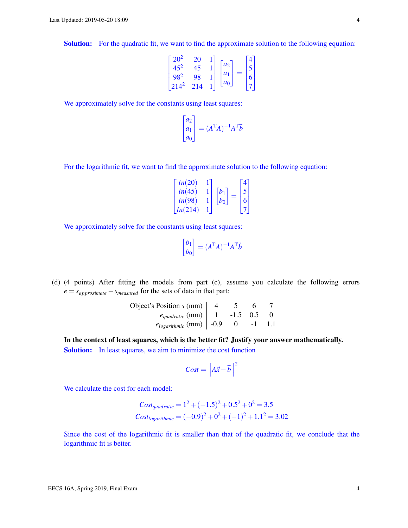Solution: For the quadratic fit, we want to find the approximate solution to the following equation:

$$
\begin{bmatrix} 20^2 & 20 & 1 \\ 45^2 & 45 & 1 \\ 98^2 & 98 & 1 \\ 214^2 & 214 & 1 \end{bmatrix} \begin{bmatrix} a_2 \\ a_1 \\ a_0 \end{bmatrix} = \begin{bmatrix} 4 \\ 5 \\ 6 \\ 7 \end{bmatrix}
$$

We approximately solve for the constants using least squares:

$$
\begin{bmatrix} a_2 \\ a_1 \\ a_0 \end{bmatrix} = (A^{\mathsf{T}}A)^{-1}A^{\mathsf{T}}\vec{b}
$$

For the logarithmic fit, we want to find the approximate solution to the following equation:

$$
\begin{bmatrix} ln(20) & 1 \ ln(45) & 1 \ ln(98) & 1 \ ln(214) & 1 \end{bmatrix} \begin{bmatrix} b_1 \ b_0 \end{bmatrix} = \begin{bmatrix} 4 \ 5 \ 6 \ 7 \end{bmatrix}
$$

We approximately solve for the constants using least squares:

$$
\begin{bmatrix} b_1 \\ b_0 \end{bmatrix} = (A^{\mathrm{T}}A)^{-1}A^{\mathrm{T}}\vec{b}
$$

(d) (4 points) After fitting the models from part (c), assume you calculate the following errors  $e = s_{approximate} - s_{measured}$  for the sets of data in that part:

| Object's Position $s$ (mm)    |        |  |  |
|-------------------------------|--------|--|--|
| $e_{quadratic}$ (mm) $_1$     | $-1.5$ |  |  |
| $e_{logarithmic}$ (mm)   -0.9 |        |  |  |

In the context of least squares, which is the better fit? Justify your answer mathematically. Solution: In least squares, we aim to minimize the cost function

$$
Cost = \left\| A\vec{x} - \vec{b} \right\|^2
$$

We calculate the cost for each model:

$$
Cost_{quadratic} = 1^2 + (-1.5)^2 + 0.5^2 + 0^2 = 3.5
$$
  

$$
Cost_{logarithmic} = (-0.9)^2 + 0^2 + (-1)^2 + 1.1^2 = 3.02
$$

Since the cost of the logarithmic fit is smaller than that of the quadratic fit, we conclude that the logarithmic fit is better.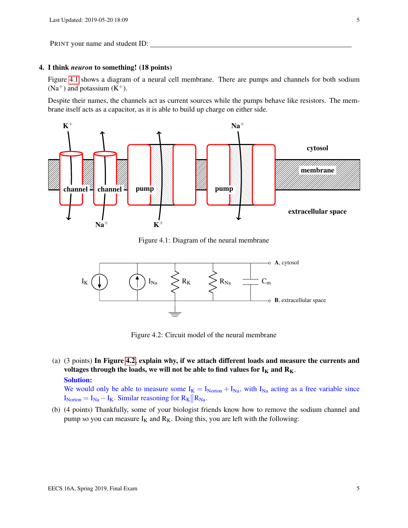## 4. I think *neuron* to something! (18 points)

Figure [4.1](#page-4-0) shows a diagram of a neural cell membrane. There are pumps and channels for both sodium  $(Na^{+})$  and potassium  $(K^{+})$ .

Despite their names, the channels act as current sources while the pumps behave like resistors. The membrane itself acts as a capacitor, as it is able to build up charge on either side.

<span id="page-4-0"></span>

Figure 4.1: Diagram of the neural membrane

<span id="page-4-1"></span>

Figure 4.2: Circuit model of the neural membrane

(a) (3 points) In Figure [4.2,](#page-4-1) explain why, if we attach different loads and measure the currents and voltages through the loads, we will not be able to find values for  $I_K$  and  $R_K$ . Solution:

We would only be able to measure some  $I_K = I_{\text{Noton}} + I_{\text{Na}}$ , with  $I_{\text{Na}}$  acting as a free variable since  $I_{\text{Noton}} = I_{\text{Na}} - I_{\text{K}}$ . Similar reasoning for  $R_{\text{K}} || R_{\text{Na}}$ .

(b) (4 points) Thankfully, some of your biologist friends know how to remove the sodium channel and pump so you can measure  $I_K$  and  $R_K$ . Doing this, you are left with the following: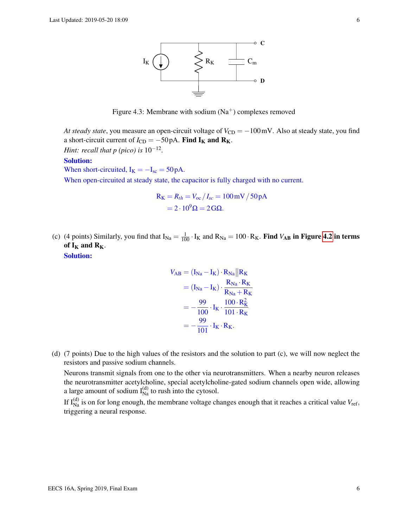

Figure 4.3: Membrane with sodium  $(Na^{+})$  complexes removed

*At steady state*, you measure an open-circuit voltage of  $V_{CD} = -100$  mV. Also at steady state, you find a short-circuit current of  $I_{CD} = -50 \text{ pA}$ . Find  $I_K$  and  $R_K$ . *Hint: recall that p (pico) is* 10<sup>-12</sup>.

## Solution:

When short-circuited,  $I_K = -I_{sc} = 50 pA$ .

When open-circuited at steady state, the capacitor is fully charged with no current.

$$
R_K = R_{th} = V_{oc} / I_{sc} = 100 \,\text{mV} / 50 \,\text{pA}
$$

$$
= 2 \cdot 10^9 \,\Omega = 2 \,\text{G}\Omega.
$$

(c) (4 points) Similarly, you find that  $I_{Na} = \frac{1}{100} \cdot I_K$  and  $R_{Na} = 100 \cdot R_K$ . Find  $V_{AB}$  in Figure [4.2](#page-4-1) in terms of  $I_K$  and  $R_K$ . Solution:

$$
V_{AB} = (I_{Na} - I_{K}) \cdot R_{Na} || R_{K}
$$
  
=  $(I_{Na} - I_{K}) \cdot \frac{R_{Na} \cdot R_{K}}{R_{Na} + R_{K}}$   
=  $-\frac{99}{100} \cdot I_{K} \cdot \frac{100 \cdot R_{K}^{2}}{101 \cdot R_{K}}$   
=  $-\frac{99}{101} \cdot I_{K} \cdot R_{K}.$ 

(d) (7 points) Due to the high values of the resistors and the solution to part (c), we will now neglect the resistors and passive sodium channels.

Neurons transmit signals from one to the other via neurotransmitters. When a nearby neuron releases the neurotransmitter acetylcholine, special acetylcholine-gated sodium channels open wide, allowing a large amount of sodium  $I_{\text{Na}}^{(d)}$  to rush into the cytosol.

If  $I_{Na}^{(d)}$  is on for long enough, the membrane voltage changes enough that it reaches a critical value  $V_{ref}$ , triggering a neural response.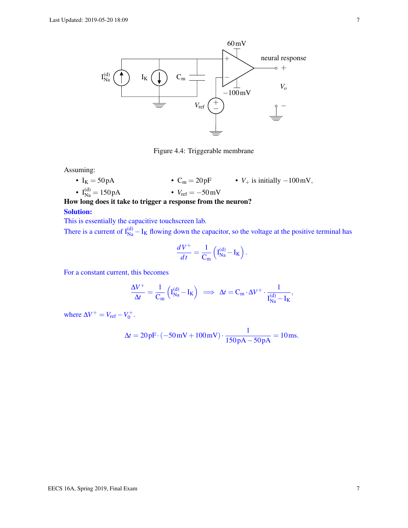

Figure 4.4: Triggerable membrane

Assuming:

- $I_K = 50 pA$ •  $C_m = 20pF$ •  $V_+$  is initially  $-100$  mV,
- $I_{Na}^{(d)} = 150 pA$ •  $V_{\text{ref}} = -50 \text{mV}$

How long does it take to trigger a response from the neuron?

#### Solution:

This is essentially the capacitive touchscreen lab. There is a current of  $I_{Na}^{(d)} - I_K$  flowing down the capacitor, so the voltage at the positive terminal has

$$
\frac{dV^+}{dt} = \frac{1}{C_m} \left( I_{Na}^{(d)} - I_K \right).
$$

For a constant current, this becomes

$$
\frac{\Delta V^+}{\Delta t} = \frac{1}{C_m} \left( I_{Na}^{(d)} - I_K \right) \ \implies \ \Delta t = C_m \cdot \Delta V^+ \cdot \frac{1}{I_{Na}^{(d)} - I_K},
$$

where  $\Delta V^+ = V_{\text{ref}} - V_0^+$ .

$$
\Delta t = 20 \,\text{pF} \cdot (-50 \,\text{mV} + 100 \,\text{mV}) \cdot \frac{1}{150 \,\text{pA} - 50 \,\text{pA}} = 10 \,\text{ms}.
$$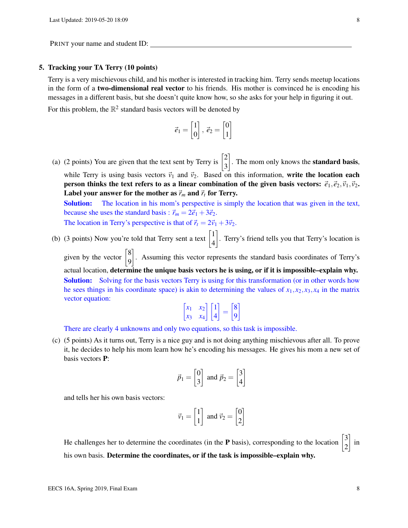## 5. Tracking your TA Terry (10 points)

Terry is a very mischievous child, and his mother is interested in tracking him. Terry sends meetup locations in the form of a two-dimensional real vector to his friends. His mother is convinced he is encoding his messages in a different basis, but she doesn't quite know how, so she asks for your help in figuring it out. For this problem, the  $\mathbb{R}^2$  standard basis vectors will be denoted by

$$
\vec{e}_1 = \begin{bmatrix} 1 \\ 0 \end{bmatrix}, \ \vec{e}_2 = \begin{bmatrix} 0 \\ 1 \end{bmatrix}
$$

(a) (2 points) You are given that the text sent by Terry is  $\begin{bmatrix} 2 \\ 2 \end{bmatrix}$ 3  $\Big]$ . The mom only knows the **standard basis**, while Terry is using basis vectors  $\vec{v}_1$  and  $\vec{v}_2$ . Based on this information, write the location each person thinks the text refers to as a linear combination of the given basis vectors:  $\vec{e}_1, \vec{e}_2, \vec{v}_1, \vec{v}_2$ . Label your answer for the mother as  $\vec{r}_m$  and  $\vec{r}_t$  for Terry.

**Solution:** The location in his mom's perspective is simply the location that was given in the text, because she uses the standard basis :  $\vec{r}_m = 2\vec{e}_1 + 3\vec{e}_2$ .

The location in Terry's perspective is that of  $\vec{r}_t = 2\vec{v}_1 + 3\vec{v}_2$ .

(b) (3 points) Now you're told that Terry sent a text  $\begin{bmatrix} 1 \\ 4 \end{bmatrix}$ 4 . Terry's friend tells you that Terry's location is

given by the vector  $\begin{bmatrix} 8 \\ 0 \end{bmatrix}$ 9 . Assuming this vector represents the standard basis coordinates of Terry's actual location, determine the unique basis vectors he is using, or if it is impossible–explain why. Solution: Solving for the basis vectors Terry is using for this transformation (or in other words how he sees things in his coordinate space) is akin to determining the values of  $x_1, x_2, x_3, x_4$  in the matrix vector equation: 11 (a) 14

$$
\begin{bmatrix} x_1 & x_2 \ x_3 & x_4 \end{bmatrix} \begin{bmatrix} 1 \\ 4 \end{bmatrix} = \begin{bmatrix} 8 \\ 9 \end{bmatrix}
$$

There are clearly 4 unknowns and only two equations, so this task is impossible.

(c) (5 points) As it turns out, Terry is a nice guy and is not doing anything mischievous after all. To prove it, he decides to help his mom learn how he's encoding his messages. He gives his mom a new set of basis vectors P:

$$
\vec{p}_1 = \begin{bmatrix} 0 \\ 3 \end{bmatrix} \text{ and } \vec{p}_2 = \begin{bmatrix} 3 \\ 4 \end{bmatrix}
$$

and tells her his own basis vectors:

$$
\vec{v}_1 = \begin{bmatrix} 1 \\ 1 \end{bmatrix} \text{ and } \vec{v}_2 = \begin{bmatrix} 0 \\ 2 \end{bmatrix}
$$

He challenges her to determine the coordinates (in the **P** basis), corresponding to the location  $\begin{bmatrix} 3 \\ 2 \end{bmatrix}$ 2  $\Big]$  in his own basis. Determine the coordinates, or if the task is impossible–explain why.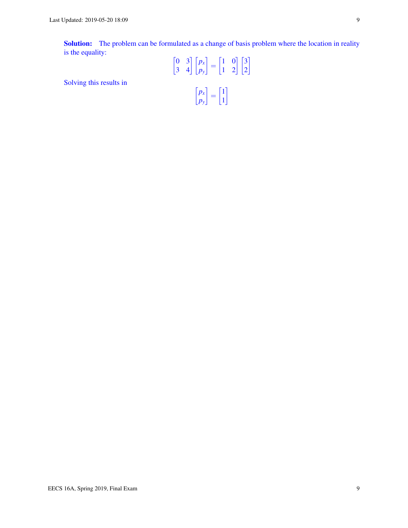Solving this results in

Solution: The problem can be formulated as a change of basis problem where the location in reality is the equality: L.  $\sigma$  of  $\sigma$  $\mathbb{R}^2$ 

$$
\begin{bmatrix} 0 & 3 \ 3 & 4 \end{bmatrix} \begin{bmatrix} p_x \\ p_y \end{bmatrix} = \begin{bmatrix} 1 & 0 \\ 1 & 2 \end{bmatrix} \begin{bmatrix} 3 \\ 2 \end{bmatrix}
$$

$$
\begin{bmatrix} p_x \\ p_y \end{bmatrix} = \begin{bmatrix} 1 \\ 1 \end{bmatrix}
$$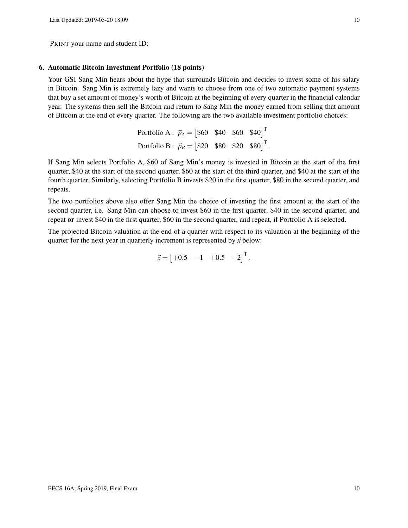#### 6. Automatic Bitcoin Investment Portfolio (18 points)

Your GSI Sang Min hears about the hype that surrounds Bitcoin and decides to invest some of his salary in Bitcoin. Sang Min is extremely lazy and wants to choose from one of two automatic payment systems that buy a set amount of money's worth of Bitcoin at the beginning of every quarter in the financial calendar year. The systems then sell the Bitcoin and return to Sang Min the money earned from selling that amount of Bitcoin at the end of every quarter. The following are the two available investment portfolio choices:

| Portfolio A : $\vec{p}_A = [\$60 \ \$40 \ \$60 \ \$40]^\text{T}$   |  |  |
|--------------------------------------------------------------------|--|--|
| Portfolio B : $\vec{p}_B = [\$20 \ \$80 \ \$20 \ \$80]^\text{T}$ . |  |  |

If Sang Min selects Portfolio A, \$60 of Sang Min's money is invested in Bitcoin at the start of the first quarter, \$40 at the start of the second quarter, \$60 at the start of the third quarter, and \$40 at the start of the fourth quarter. Similarly, selecting Portfolio B invests \$20 in the first quarter, \$80 in the second quarter, and repeats.

The two portfolios above also offer Sang Min the choice of investing the first amount at the start of the second quarter, i.e. Sang Min can choose to invest \$60 in the first quarter, \$40 in the second quarter, and repeat or invest \$40 in the first quarter, \$60 in the second quarter, and repeat, if Portfolio A is selected.

The projected Bitcoin valuation at the end of a quarter with respect to its valuation at the beginning of the quarter for the next year in quarterly increment is represented by  $\vec{x}$  below:

$$
\vec{x} = \begin{bmatrix} +0.5 & -1 & +0.5 & -2 \end{bmatrix}^T.
$$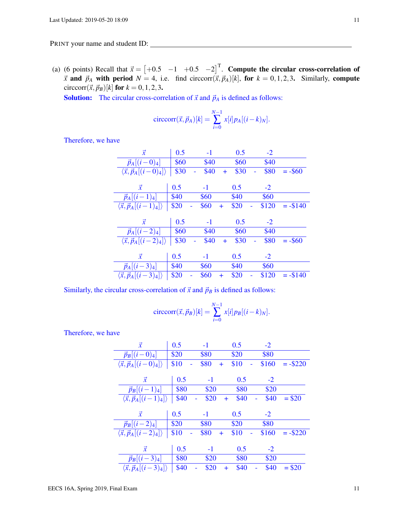(a) (6 points) Recall that  $\vec{x} = \begin{bmatrix} +0.5 & -1 & +0.5 & -2 \end{bmatrix}^T$ . Compute the circular cross-correlation of  $\vec{x}$  and  $\vec{p}_A$  with period  $N = 4$ , i.e. find circcorr $(\vec{x}, \vec{p}_A)[k]$ , for  $k = 0, 1, 2, 3$ . Similarly, compute circcorr $({\vec{x}}, {\vec{p}}_B)[k]$  for  $k = 0, 1, 2, 3$ .

**Solution:** The circular cross-correlation of  $\vec{x}$  and  $\vec{p}_A$  is defined as follows:

$$
\text{circcorr}(\vec{x}, \vec{p}_A)[k] = \sum_{i=0}^{N-1} x[i] p_A [(i-k)_N].
$$

Therefore, we have

| $\vec{x}$                                     | 0.5  | $-1$ |           | 0.5  | $-2$  |            |
|-----------------------------------------------|------|------|-----------|------|-------|------------|
| $\vec{p}_A[(i-0)_4]$                          | \$60 | \$40 |           | \$60 | \$40  |            |
| $\langle \vec{x}, \vec{p}_A[(i-0)_4] \rangle$ | \$30 | \$40 | $\pm$     | \$30 | \$80  | $= -\$60$  |
|                                               |      |      |           |      |       |            |
| $\vec{x}$                                     | 0.5  | $-1$ |           | 0.5  | $-2$  |            |
| $\vec{p}_A[(i-1)_4]$                          | \$40 | \$60 |           | \$40 | \$60  |            |
| $\langle \vec{x}, \vec{p}_A[(i-1)_4] \rangle$ | \$20 | \$60 | $\pm$     | \$20 | \$120 | $= -\$140$ |
|                                               |      |      |           |      |       |            |
|                                               |      |      |           |      |       |            |
| $\vec{x}$                                     | 0.5  | $-1$ |           | 0.5  | $-2$  |            |
| $\vec{p}_A[(i-2)_4]$                          | \$60 | \$40 |           | \$60 | \$40  |            |
| $\langle \vec{x}, \vec{p}_A[(i-2)_4] \rangle$ | \$30 | \$40 | $\ddot{}$ | \$30 | \$80  | $= -\$60$  |
|                                               |      |      |           |      |       |            |
| $\vec{x}$                                     | 0.5  | $-1$ |           | 0.5  | $-2$  |            |
| $\vec{p}_A[(i-3)_4]$                          | \$40 | \$60 |           | \$40 | \$60  |            |

Similarly, the circular cross-correlation of  $\vec{x}$  and  $\vec{p}_B$  is defined as follows:

$$
\text{circcorr}(\vec{x}, \vec{p}_B)[k] = \sum_{i=0}^{N-1} x[i] p_B[(i-k)_N].
$$

Therefore, we have

| $\vec{x}$                                     | 0.5  | $-1$        | 0.5               | $-2$  |            |
|-----------------------------------------------|------|-------------|-------------------|-------|------------|
| $\vec{p}_B[(i-0)_4]$                          | \$20 | \$80        | \$20              | \$80  |            |
| $\langle \vec{x}, \vec{p}_A[(i-0)_4] \rangle$ | \$10 | \$80<br>$+$ | \$10              | \$160 | $= -\$220$ |
|                                               |      |             |                   |       |            |
| $\vec{x}$                                     | 0.5  | $-1$        | 0.5               | $-2$  |            |
| $\vec{p}_B[(i-1)_4]$                          | \$80 | \$20        | \$80              | \$20  |            |
| $\langle \vec{x}, \vec{p}_A[(i-1)_4] \rangle$ | \$40 | \$20        | \$40<br>$\ddot{}$ | \$40  | $= $20$    |
|                                               |      |             |                   |       |            |
|                                               |      |             |                   |       |            |
| $\vec{x}$                                     | 0.5  | $-1$        | 0.5               | $-2$  |            |
| $\vec{p}_B[(i-2)_4]$                          | \$20 | \$80        | \$20              | \$80  |            |
| $\langle \vec{x}, \vec{p}_A[(i-2)_4] \rangle$ | \$10 | \$80<br>$+$ | \$10              | \$160 | $= -\$220$ |
|                                               |      |             |                   |       |            |
| $\vec{x}$                                     | 0.5  | $-1$        | 0.5               | $-2$  |            |
| $\vec{p}_B[(i-3)_4]$                          | \$80 | \$20        | \$80              | \$20  |            |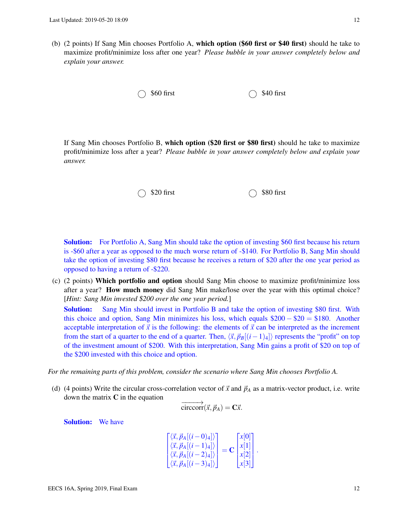(b) (2 points) If Sang Min chooses Portfolio A, which option (\$60 first or \$40 first) should he take to maximize profit/minimize loss after one year? *Please bubble in your answer completely below and explain your answer.*

 $\bigcirc$  \$60 first  $\bigcirc$  \$40 first

If Sang Min chooses Portfolio B, which option (\$20 first or \$80 first) should he take to maximize profit/minimize loss after a year? *Please bubble in your answer completely below and explain your answer.*

## $\bigcirc$  \$20 first  $\bigcirc$  \$80 first

**Solution:** For Portfolio A, Sang Min should take the option of investing \$60 first because his return is -\$60 after a year as opposed to the much worse return of -\$140. For Portfolio B, Sang Min should take the option of investing \$80 first because he receives a return of \$20 after the one year period as opposed to having a return of -\$220.

(c) (2 points) Which portfolio and option should Sang Min choose to maximize profit/minimize loss after a year? How much money did Sang Min make/lose over the year with this optimal choice? [*Hint: Sang Min invested \$200 over the one year period.*]

**Solution:** Sang Min should invest in Portfolio B and take the option of investing \$80 first. With this choice and option, Sang Min minimizes his loss, which equals  $\$200 - \$20 = \$180$ . Another acceptable interpretation of  $\vec{x}$  is the following: the elements of  $\vec{x}$  can be interpreted as the increment from the start of a quarter to the end of a quarter. Then,  $\langle \vec{x}, \vec{p}_B[(i-1)_4] \rangle$  represents the "profit" on top of the investment amount of \$200. With this interpretation, Sang Min gains a profit of \$20 on top of the \$200 invested with this choice and option.

*For the remaining parts of this problem, consider the scenario where Sang Min chooses Portfolio A.*

(d) (4 points) Write the circular cross-correlation vector of  $\vec{x}$  and  $\vec{p}_A$  as a matrix-vector product, i.e. write down the matrix  $C$  in the equation

$$
\overrightarrow{\text{circcorr}}(\vec{x}, \vec{p}_A) = \mathbf{C}\vec{x}.
$$

Solution: We have

$$
\begin{bmatrix}\n\langle \vec{x}, \vec{p}_A[(i-0)_4] \rangle \\
\langle \vec{x}, \vec{p}_A[(i-1)_4] \rangle \\
\langle \vec{x}, \vec{p}_A[(i-2)_4] \rangle \\
\langle \vec{x}, \vec{p}_A[(i-3)_4] \rangle\n\end{bmatrix} = \mathbf{C} \begin{bmatrix}\nx[0] \\
x[1] \\
x[2] \\
x[3]\n\end{bmatrix}.
$$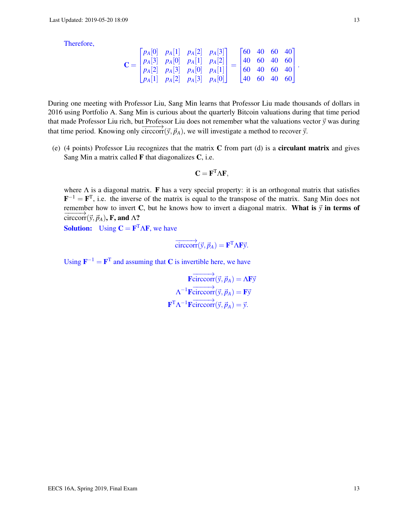Therefore,

$$
\mathbf{C} = \begin{bmatrix} p_A[0] & p_A[1] & p_A[2] & p_A[3] \\ p_A[3] & p_A[0] & p_A[1] & p_A[2] \\ p_A[2] & p_A[3] & p_A[0] & p_A[1] \\ p_A[1] & p_A[2] & p_A[3] & p_A[0] \end{bmatrix} = \begin{bmatrix} 60 & 40 & 60 & 40 \\ 40 & 60 & 40 & 60 \\ 60 & 40 & 60 & 40 \\ 40 & 60 & 40 & 60 \end{bmatrix}.
$$

During one meeting with Professor Liu, Sang Min learns that Professor Liu made thousands of dollars in 2016 using Portfolio A. Sang Min is curious about the quarterly Bitcoin valuations during that time period that made Professor Liu rich, but Professor Liu does not remember what the valuations vector  $\vec{y}$  was during that time period. Knowing only circcorr( $\vec{y}$ , $\vec{p}_A$ ), we will investigate a method to recover  $\vec{y}$ .

(e) (4 points) Professor Liu recognizes that the matrix C from part (d) is a circulant matrix and gives Sang Min a matrix called  $\bf{F}$  that diagonalizes  $\bf{C}$ , i.e.

$$
C = F^T \Lambda F,
$$

where  $\Lambda$  is a diagonal matrix. **F** has a very special property: it is an orthogonal matrix that satisfies **, i.e. the inverse of the matrix is equal to the transpose of the matrix. Sang Min does not** remember how to invert C, but he knows how to invert a diagonal matrix. What is  $\vec{y}$  in terms of  $\overrightarrow{\text{circcorr}}(\vec{v}, \vec{p}_A)$ , F, and  $\Lambda$ ?

**Solution:** Using  $C = F<sup>T</sup> \Lambda F$ , we have

$$
\overrightarrow{\text{circcorr}}(\vec{y}, \vec{p}_A) = \mathbf{F}^{\text{T}} \Lambda \mathbf{F} \vec{y}.
$$

Using  $\mathbf{F}^{-1} = \mathbf{F}^{\mathrm{T}}$  and assuming that C is invertible here, we have

 $\overrightarrow{\text{Fcirccorr}}(\vec{y}, \vec{p}_A) = \Lambda \text{F}\vec{y}$  $\Lambda^{-1}$ **F**circcorr $(\vec{y}, \vec{p}_A) = \mathbf{F}\vec{y}$  $\mathbf{F}^{\mathrm{T}} \Lambda^{-1} \overrightarrow{\text{F} \text{circcorr}}(\vec{y}, \vec{p}_A) = \vec{y}.$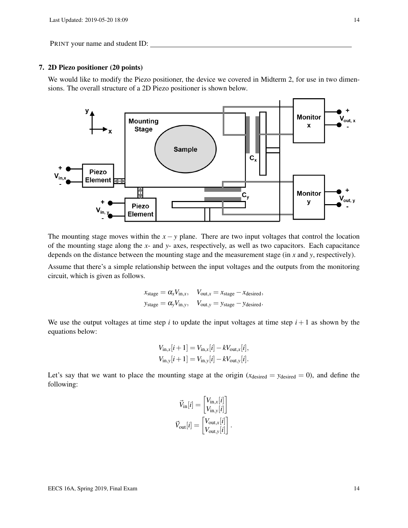## 7. 2D Piezo positioner (20 points)

We would like to modify the Piezo positioner, the device we covered in Midterm 2, for use in two dimensions. The overall structure of a 2D Piezo positioner is shown below.



The mounting stage moves within the  $x - y$  plane. There are two input voltages that control the location of the mounting stage along the *x*- and *y*- axes, respectively, as well as two capacitors. Each capacitance depends on the distance between the mounting stage and the measurement stage (in *x* and *y*, respectively).

Assume that there's a simple relationship between the input voltages and the outputs from the monitoring circuit, which is given as follows.

$$
x_{\text{stage}} = \alpha_x V_{\text{in},x}, \quad V_{\text{out},x} = x_{\text{stage}} - x_{\text{desired}},
$$
  

$$
y_{\text{stage}} = \alpha_y V_{\text{in},y}, \quad V_{\text{out},y} = y_{\text{stage}} - y_{\text{desired}}.
$$

We use the output voltages at time step  $i$  to update the input voltages at time step  $i + 1$  as shown by the equations below:

$$
V_{\text{in},x}[i+1] = V_{\text{in},x}[i] - kV_{\text{out},x}[i],
$$
  
\n
$$
V_{\text{in},y}[i+1] = V_{\text{in},y}[i] - kV_{\text{out},y}[i].
$$

Let's say that we want to place the mounting stage at the origin  $(x_{\text{desired}} = y_{\text{desired}} = 0)$ , and define the following:

$$
\vec{V}_{\text{in}}[i] = \begin{bmatrix} V_{\text{in},x}[i] \\ V_{\text{in},y}[i] \end{bmatrix}
$$

$$
\vec{V}_{\text{out}}[i] = \begin{bmatrix} V_{\text{out},x}[i] \\ V_{\text{out},y}[i] \end{bmatrix}.
$$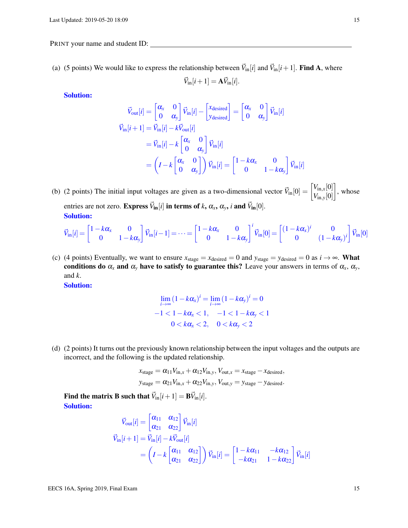(a) (5 points) We would like to express the relationship between  $\vec{V}_{in}[i]$  and  $\vec{V}_{in}[i+1]$ . Find A, where

$$
\vec{V}_{\text{in}}[i+1] = \mathbf{A}\vec{V}_{\text{in}}[i].
$$

Solution:

$$
\vec{V}_{out}[i] = \begin{bmatrix} \alpha_x & 0 \\ 0 & \alpha_y \end{bmatrix} \vec{V}_{in}[i] - \begin{bmatrix} x_{\text{desired}} \\ y_{\text{desired}} \end{bmatrix} = \begin{bmatrix} \alpha_x & 0 \\ 0 & \alpha_y \end{bmatrix} \vec{V}_{in}[i]
$$
\n
$$
\vec{V}_{in}[i+1] = \vec{V}_{in}[i] - k\vec{V}_{out}[i]
$$
\n
$$
= \vec{V}_{in}[i] - k \begin{bmatrix} \alpha_x & 0 \\ 0 & \alpha_y \end{bmatrix} \vec{V}_{in}[i]
$$
\n
$$
= \left( I - k \begin{bmatrix} \alpha_x & 0 \\ 0 & \alpha_y \end{bmatrix} \right) \vec{V}_{in}[i] = \begin{bmatrix} 1 - k\alpha_x & 0 \\ 0 & 1 - k\alpha_y \end{bmatrix} \vec{V}_{in}[i]
$$

(b) (2 points) The initial input voltages are given as a two-dimensional vector  $\vec{V}_{in}[0] = \begin{bmatrix} V_{in,x}[0] \\ V_{in,x}[0] \end{bmatrix}$ *V*in,*y*[0]  $\Big]$ , whose entries are not zero. Express  $\vec{V}_{in}[i]$  in terms of *k*,  $\alpha_x$ ,  $\alpha_y$ , *i* and  $\vec{V}_{in}[0]$ . Solution:

$$
\vec{V}_{\text{in}}[i] = \begin{bmatrix} 1 - k\alpha_{x} & 0 \\ 0 & 1 - k\alpha_{y} \end{bmatrix} \vec{V}_{\text{in}}[i-1] = \dots = \begin{bmatrix} 1 - k\alpha_{x} & 0 \\ 0 & 1 - k\alpha_{y} \end{bmatrix}^{i} \vec{V}_{\text{in}}[0] = \begin{bmatrix} (1 - k\alpha_{x})^{i} & 0 \\ 0 & (1 - k\alpha_{y})^{i} \end{bmatrix} \vec{V}_{\text{in}}[0]
$$

(c) (4 points) Eventually, we want to ensure  $x_{stage} = x_{desired} = 0$  and  $y_{stage} = y_{desired} = 0$  as  $i \rightarrow \infty$ . What conditions do  $\alpha_x$  and  $\alpha_y$  have to satisfy to guarantee this? Leave your answers in terms of  $\alpha_x$ ,  $\alpha_y$ , and *k*.

Solution:

$$
\lim_{i \to \infty} (1 - k\alpha_x)^i = \lim_{i \to \infty} (1 - k\alpha_y)^i = 0
$$
  
-1 < 1 - k\alpha\_x < 1, -1 < 1 - k\alpha\_y < 1  
0 < k\alpha\_x < 2, 0 < k\alpha\_y < 2

(d) (2 points) It turns out the previously known relationship between the input voltages and the outputs are incorrect, and the following is the updated relationship.

$$
x_{stage} = \alpha_{11}V_{in,x} + \alpha_{12}V_{in,y}, V_{out,x} = x_{stage} - x_{desired},
$$
  
\n
$$
y_{stage} = \alpha_{21}V_{in,x} + \alpha_{22}V_{in,y}, V_{out,y} = y_{stage} - y_{desired}.
$$

Find the matrix B such that  $\vec{V}_{in}[i+1] = \vec{BV}_{in}[i].$ Solution:

$$
\vec{V}_{\text{out}}[i] = \begin{bmatrix} \alpha_{11} & \alpha_{12} \\ \alpha_{21} & \alpha_{22} \end{bmatrix} \vec{V}_{\text{in}}[i]
$$
\n
$$
\vec{V}_{\text{in}}[i+1] = \vec{V}_{\text{in}}[i] - k\vec{V}_{\text{out}}[i]
$$
\n
$$
= \left(I - k \begin{bmatrix} \alpha_{11} & \alpha_{12} \\ \alpha_{21} & \alpha_{22} \end{bmatrix} \right) \vec{V}_{\text{in}}[i] = \begin{bmatrix} 1 - k\alpha_{11} & -k\alpha_{12} \\ -k\alpha_{21} & 1 - k\alpha_{22} \end{bmatrix} \vec{V}_{\text{in}}[i]
$$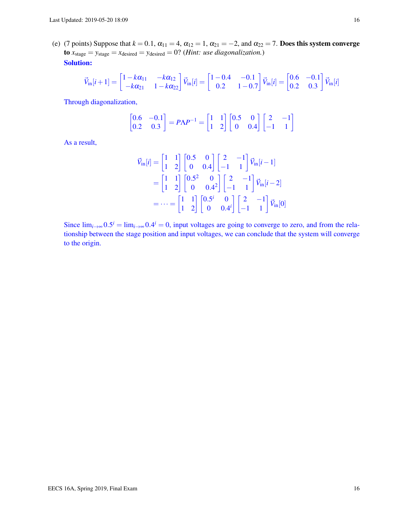(e) (7 points) Suppose that  $k = 0.1$ ,  $\alpha_{11} = 4$ ,  $\alpha_{12} = 1$ ,  $\alpha_{21} = -2$ , and  $\alpha_{22} = 7$ . Does this system converge to  $x_{stage} = y_{stage} = x_{desired} = y_{desired} = 0$ ? (*Hint: use diagonalization.*) Solution:

$$
\vec{V}_{\text{in}}[i+1] = \begin{bmatrix} 1 - k\alpha_{11} & -k\alpha_{12} \\ -k\alpha_{21} & 1 - k\alpha_{22} \end{bmatrix} \vec{V}_{\text{in}}[i] = \begin{bmatrix} 1 - 0.4 & -0.1 \\ 0.2 & 1 - 0.7 \end{bmatrix} \vec{V}_{\text{in}}[i] = \begin{bmatrix} 0.6 & -0.1 \\ 0.2 & 0.3 \end{bmatrix} \vec{V}_{\text{in}}[i]
$$

Through diagonalization,

$$
\begin{bmatrix} 0.6 & -0.1 \\ 0.2 & 0.3 \end{bmatrix} = P\Lambda P^{-1} = \begin{bmatrix} 1 & 1 \\ 1 & 2 \end{bmatrix} \begin{bmatrix} 0.5 & 0 \\ 0 & 0.4 \end{bmatrix} \begin{bmatrix} 2 & -1 \\ -1 & 1 \end{bmatrix}
$$

As a result,

$$
\vec{V}_{\text{in}}[i] = \begin{bmatrix} 1 & 1 \\ 1 & 2 \end{bmatrix} \begin{bmatrix} 0.5 & 0 \\ 0 & 0.4 \end{bmatrix} \begin{bmatrix} 2 & -1 \\ -1 & 1 \end{bmatrix} \vec{V}_{\text{in}}[i-1]
$$

$$
= \begin{bmatrix} 1 & 1 \\ 1 & 2 \end{bmatrix} \begin{bmatrix} 0.5^2 & 0 \\ 0 & 0.4^2 \end{bmatrix} \begin{bmatrix} 2 & -1 \\ -1 & 1 \end{bmatrix} \vec{V}_{\text{in}}[i-2]
$$

$$
= \dots = \begin{bmatrix} 1 & 1 \\ 1 & 2 \end{bmatrix} \begin{bmatrix} 0.5^i & 0 \\ 0 & 0.4^i \end{bmatrix} \begin{bmatrix} 2 & -1 \\ -1 & 1 \end{bmatrix} \vec{V}_{\text{in}}[0]
$$

Since  $\lim_{i\to\infty} 0.5^i = \lim_{i\to\infty} 0.4^i = 0$ , input voltages are going to converge to zero, and from the relationship between the stage position and input voltages, we can conclude that the system will converge to the origin.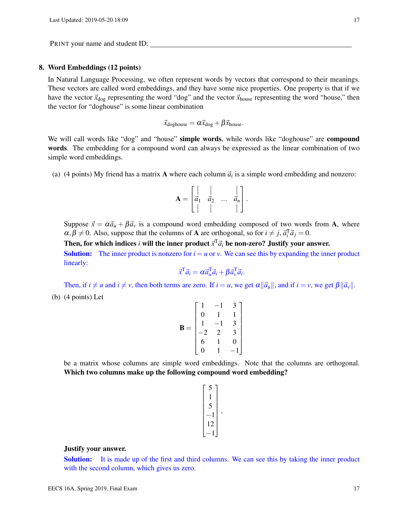## 8. Word Embeddings (12 points)

In Natural Language Processing, we often represent words by vectors that correspond to their meanings. These vectors are called word embeddings, and they have some nice properties. One property is that if we have the vector  $\vec{x}_{\text{dog}}$  representing the word "dog" and the vector  $\vec{x}_{\text{house}}$  representing the word "house," then the vector for "doghouse" is some linear combination

$$
\vec{x}_{\text{doghouse}} = \alpha \vec{x}_{\text{dog}} + \beta \vec{x}_{\text{house}}.
$$

We will call words like "dog" and "house" simple words, while words like "doghouse" are compound words. The embedding for a compound word can always be expressed as the linear combination of two simple word embeddings.

(a) (4 points) My friend has a matrix **A** where each column  $\vec{a}_i$  is a simple word embedding and nonzero:

$$
\mathbf{A} = \begin{bmatrix} | & | & & | \\ \vec{a}_1 & \vec{a}_2 & \dots & \vec{a}_n \\ | & | & & | \end{bmatrix}.
$$

Suppose  $\vec{x} = \alpha \vec{a}_u + \beta \vec{a}_v$  is a compound word embedding composed of two words from A, where  $\alpha, \beta \neq 0$ . Also, suppose that the columns of **A** are orthogonal, so for  $i \neq j$ ,  $\vec{a}_i^T \vec{a}_j = 0$ .

Then, for which indices *i* will the inner product  $\vec{x}^T \vec{a}_i$  be non-zero? Justify your answer. **Solution:** The inner product is nonzero for  $i = u$  or *v*. We can see this by expanding the inner product linearly:

$$
\vec{x}^{\mathrm{T}}\vec{a}_i = \alpha \vec{a}_u^{\mathrm{T}}\vec{a}_i + \beta \vec{a}_v^{\mathrm{T}}\vec{a}_i.
$$

Then, if  $i \neq u$  and  $i \neq v$ , then both terms are zero. If  $i = u$ , we get  $\alpha || \vec{a}_u ||$ , and if  $i = v$ , we get  $\beta ||\vec{a}_v||$ . (b) (4 points) Let

$$
\mathbf{B} = \begin{bmatrix} 1 & -1 & 3 \\ 0 & 1 & 1 \\ 1 & -1 & 3 \\ -2 & 2 & 3 \\ 6 & 1 & 0 \\ 0 & 1 & -1 \end{bmatrix}
$$

be a matrix whose columns are simple word embeddings. Note that the columns are orthogonal. Which two columns make up the following compound word embedding?

$$
\begin{bmatrix} 5 \\ 1 \\ 5 \\ -1 \\ 12 \\ -1 \end{bmatrix},
$$

## Justify your answer.

Solution: It is made up of the first and third columns. We can see this by taking the inner product with the second column, which gives us zero.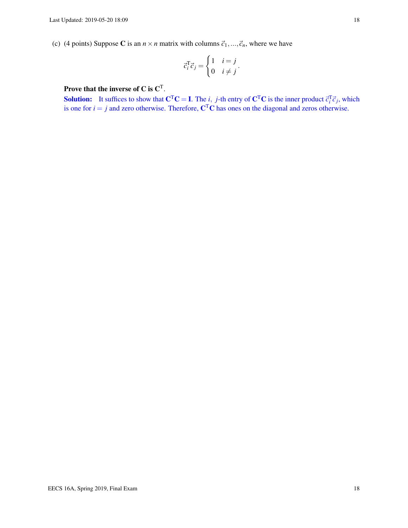(c) (4 points) Suppose C is an  $n \times n$  matrix with columns  $\vec{c}_1, \dots, \vec{c}_n$ , where we have

$$
\vec{c}_i^{\mathrm{T}} \vec{c}_j = \begin{cases} 1 & i = j \\ 0 & i \neq j \end{cases}.
$$

# Prove that the inverse of C is  $\mathbf{C}^{\mathrm{T}}$ .

**Solution:** It suffices to show that  $C^{T}C = I$ . The *i*, *j*-th entry of  $C^{T}C$  is the inner product  $\vec{c}_{i}^{T}\vec{c}_{j}$ , which is one for  $i = j$  and zero otherwise. Therefore,  $C<sup>T</sup>C$  has ones on the diagonal and zeros otherwise.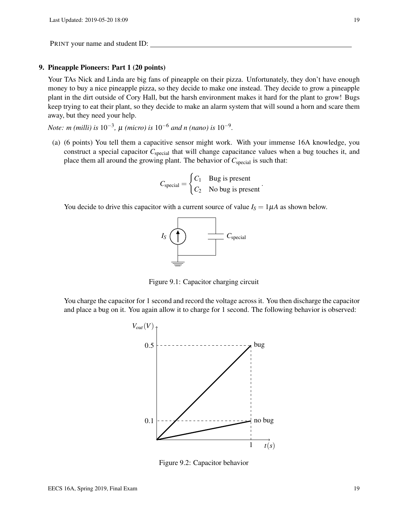## 9. Pineapple Pioneers: Part 1 (20 points)

Your TAs Nick and Linda are big fans of pineapple on their pizza. Unfortunately, they don't have enough money to buy a nice pineapple pizza, so they decide to make one instead. They decide to grow a pineapple plant in the dirt outside of Cory Hall, but the harsh environment makes it hard for the plant to grow! Bugs keep trying to eat their plant, so they decide to make an alarm system that will sound a horn and scare them away, but they need your help.

*Note: m* (milli) is 10<sup>-3</sup>,  $\mu$  (micro) is 10<sup>-6</sup> and n (nano) is 10<sup>-9</sup>.

(a) (6 points) You tell them a capacitive sensor might work. With your immense 16A knowledge, you construct a special capacitor C<sub>special</sub> that will change capacitance values when a bug touches it, and place them all around the growing plant. The behavior of *C*<sub>special</sub> is such that:

$$
C_{\text{special}} = \begin{cases} C_1 & \text{Bug is present} \\ C_2 & \text{No bug is present} \end{cases}
$$

.

You decide to drive this capacitor with a current source of value  $I_S = 1 \mu A$  as shown below.



Figure 9.1: Capacitor charging circuit

<span id="page-18-0"></span>You charge the capacitor for 1 second and record the voltage across it. You then discharge the capacitor and place a bug on it. You again allow it to charge for 1 second. The following behavior is observed:



Figure 9.2: Capacitor behavior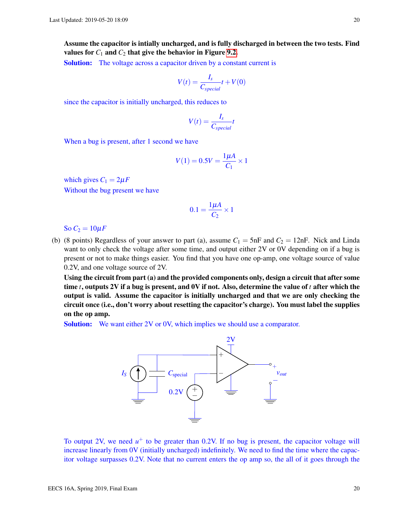Assume the capacitor is intially uncharged, and is fully discharged in between the two tests. Find values for  $C_1$  and  $C_2$  that give the behavior in Figure [9.2.](#page-18-0)

**Solution:** The voltage across a capacitor driven by a constant current is

$$
V(t) = \frac{I_s}{C_{special}}t + V(0)
$$

since the capacitor is initially uncharged, this reduces to

$$
V(t) = \frac{I_s}{C_{special}}t
$$

When a bug is present, after 1 second we have

$$
V(1) = 0.5V = \frac{1\mu A}{C_1} \times 1
$$

which gives  $C_1 = 2\mu F$ Without the bug present we have

$$
0.1 = \frac{1\mu A}{C_2} \times 1
$$

So  $C_2 = 10 \mu F$ 

(b) (8 points) Regardless of your answer to part (a), assume  $C_1 = 5$ nF and  $C_2 = 12$ nF. Nick and Linda want to only check the voltage after some time, and output either 2V or 0V depending on if a bug is present or not to make things easier. You find that you have one op-amp, one voltage source of value 0.2V, and one voltage source of 2V.

Using the circuit from part (a) and the provided components only, design a circuit that after some time *t*, outputs 2V if a bug is present, and 0V if not. Also, determine the value of *t* after which the output is valid. Assume the capacitor is initially uncharged and that we are only checking the circuit once (i.e., don't worry about resetting the capacitor's charge). You must label the supplies on the op amp.

**Solution:** We want either 2V or 0V, which implies we should use a comparator.



To output 2V, we need  $u^+$  to be greater than 0.2V. If no bug is present, the capacitor voltage will increase linearly from 0V (initially uncharged) indefinitely. We need to find the time where the capacitor voltage surpasses 0.2V. Note that no current enters the op amp so, the all of it goes through the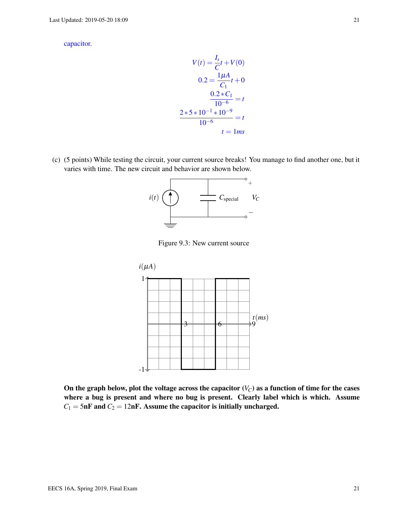capacitor.

$$
V(t) = \frac{I_s}{C}t + V(0)
$$

$$
0.2 = \frac{1\mu A}{C_1}t + 0
$$

$$
\frac{0.2 * C_1}{10^{-6}} = t
$$

$$
\frac{2 * 5 * 10^{-1} * 10^{-9}}{10^{-6}} = t
$$

$$
t = 1ms
$$

(c) (5 points) While testing the circuit, your current source breaks! You manage to find another one, but it varies with time. The new circuit and behavior are shown below.



Figure 9.3: New current source



On the graph below, plot the voltage across the capacitor  $(V_C)$  as a function of time for the cases where a bug is present and where no bug is present. Clearly label which is which. Assume  $C_1 = 5$ nF and  $C_2 = 12$ nF. Assume the capacitor is initially uncharged.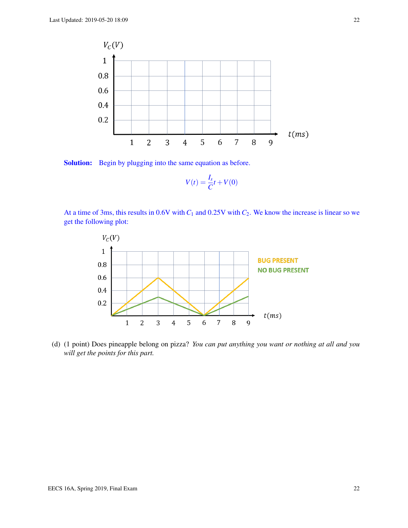

Solution: Begin by plugging into the same equation as before.

$$
V(t) = \frac{I_s}{C}t + V(0)
$$

At a time of 3ms, this results in 0.6V with  $C_1$  and 0.25V with  $C_2$ . We know the increase is linear so we get the following plot:



(d) (1 point) Does pineapple belong on pizza? *You can put anything you want or nothing at all and you will get the points for this part.*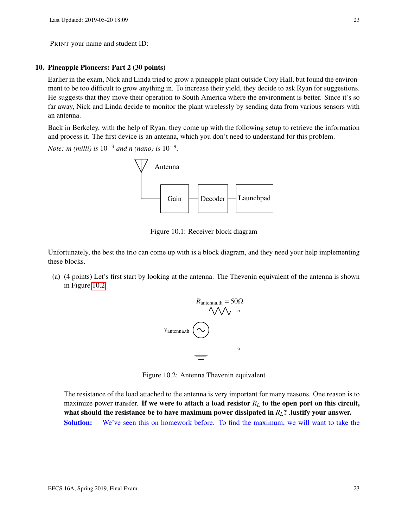## 10. Pineapple Pioneers: Part 2 (30 points)

Earlier in the exam, Nick and Linda tried to grow a pineapple plant outside Cory Hall, but found the environment to be too difficult to grow anything in. To increase their yield, they decide to ask Ryan for suggestions. He suggests that they move their operation to South America where the environment is better. Since it's so far away, Nick and Linda decide to monitor the plant wirelessly by sending data from various sensors with an antenna.

Back in Berkeley, with the help of Ryan, they come up with the following setup to retrieve the information and process it. The first device is an antenna, which you don't need to understand for this problem.

*Note: m (milli) is* 10−<sup>3</sup> *and n (nano) is* 10−<sup>9</sup> *.*



Figure 10.1: Receiver block diagram

Unfortunately, the best the trio can come up with is a block diagram, and they need your help implementing these blocks.

<span id="page-22-0"></span>(a) (4 points) Let's first start by looking at the antenna. The Thevenin equivalent of the antenna is shown in Figure [10.2.](#page-22-0)



Figure 10.2: Antenna Thevenin equivalent

The resistance of the load attached to the antenna is very important for many reasons. One reason is to maximize power transfer. If we were to attach a load resistor  $R_L$  to the open port on this circuit, what should the resistance be to have maximum power dissipated in *RL*? Justify your answer. Solution: We've seen this on homework before. To find the maximum, we will want to take the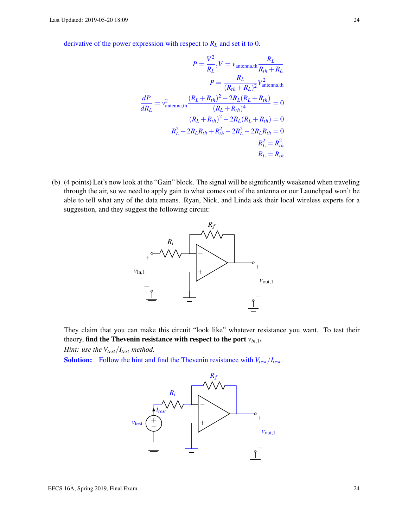derivative of the power expression with respect to *R<sup>L</sup>* and set it to 0.

$$
P = \frac{V^2}{R_L}, V = \nu_{\text{antenna,th}} \frac{R_L}{R_{th} + R_L}
$$

$$
P = \frac{R_L}{(R_{th} + R_L)^2} V_{\text{antenna,th}}^2
$$

$$
\frac{dP}{dR_L} = \nu_{\text{antenna,th}}^2 \frac{(R_L + R_{th})^2 - 2R_L(R_L + R_{th})}{(R_L + R_{th})^4} = 0
$$

$$
(R_L + R_{th})^2 - 2R_L(R_L + R_{th}) = 0
$$

$$
R_L^2 + 2R_LR_{th} + R_{th}^2 - 2R_L^2 - 2R_LR_{th} = 0
$$

$$
R_L^2 = R_{th}^2
$$

$$
R_L = R_{th}
$$

(b) (4 points) Let's now look at the "Gain" block. The signal will be significantly weakened when traveling through the air, so we need to apply gain to what comes out of the antenna or our Launchpad won't be able to tell what any of the data means. Ryan, Nick, and Linda ask their local wireless experts for a suggestion, and they suggest the following circuit:



They claim that you can make this circuit "look like" whatever resistance you want. To test their theory, find the Thevenin resistance with respect to the port *vin*,1.

*Hint: use the Vtest*/*Itest method.*

**Solution:** Follow the hint and find the Thevenin resistance with  $V_{test}/I_{test}$ .

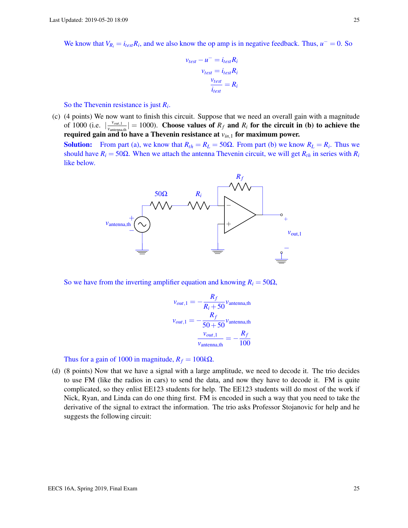We know that  $V_{R_i} = i_{test}R_i$ , and we also know the op amp is in negative feedback. Thus,  $u^- = 0$ . So

$$
v_{test} - u^- = i_{test} R_i
$$

$$
v_{test} = i_{test} R_i
$$

$$
\frac{v_{test}}{i_{test}} = R_i
$$

So the Thevenin resistance is just *R<sup>i</sup>* .

(c) (4 points) We now want to finish this circuit. Suppose that we need an overall gain with a magnitude of 1000 (i.e.  $\frac{v_{out,1}}{v_{out,2}}$  $\frac{v_{out,1}}{v_{antenna,th}}$  = 1000). Choose values of  $R_f$  and  $R_i$  for the circuit in (b) to achieve the required gain and to have a Thevenin resistance at *vin*,<sup>1</sup> for maximum power.

Solution: From part (a), we know that  $R_{th} = R_L = 50\Omega$ . From part (b) we know  $R_L = R_i$ . Thus we should have  $R_i = 50\Omega$ . When we attach the antenna Thevenin circuit, we will get  $R_{th}$  in series with  $R_i$ like below.



So we have from the inverting amplifier equation and knowing  $R_i = 50\Omega$ ,

$$
v_{out,1} = -\frac{R_f}{R_i + 50} v_{\text{antenna},\text{th}}
$$

$$
v_{out,1} = -\frac{R_f}{50 + 50} v_{\text{antenna},\text{th}}
$$

$$
\frac{v_{out,1}}{v_{\text{antenna},\text{th}}} = -\frac{R_f}{100}
$$

Thus for a gain of 1000 in magnitude,  $R_f = 100k\Omega$ .

(d) (8 points) Now that we have a signal with a large amplitude, we need to decode it. The trio decides to use FM (like the radios in cars) to send the data, and now they have to decode it. FM is quite complicated, so they enlist EE123 students for help. The EE123 students will do most of the work if Nick, Ryan, and Linda can do one thing first. FM is encoded in such a way that you need to take the derivative of the signal to extract the information. The trio asks Professor Stojanovic for help and he suggests the following circuit: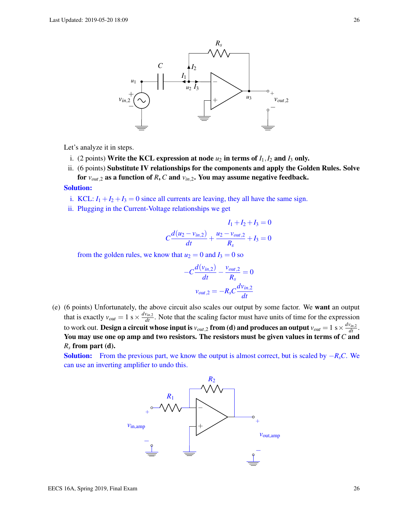

Let's analyze it in steps.

- i. (2 points) Write the KCL expression at node  $u_2$  in terms of  $I_1, I_2$  and  $I_3$  only.
- ii. (6 points) Substitute IV relationships for the components and apply the Golden Rules. Solve for  $v_{out,2}$  as a function of *R*, *C* and  $v_{in,2}$ . You may assume negative feedback.

## Solution:

- i. KCL:  $I_1 + I_2 + I_3 = 0$  since all currents are leaving, they all have the same sign.
- ii. Plugging in the Current-Voltage relationships we get

$$
I_1 + I_2 + I_3 = 0
$$
  

$$
C \frac{d(u_2 - v_{in,2})}{dt} + \frac{u_2 - v_{out,2}}{R_s} + I_3 = 0
$$

from the golden rules, we know that  $u_2 = 0$  and  $I_3 = 0$  so

$$
-C\frac{d(v_{in,2})}{dt} - \frac{v_{out,2}}{R_s} = 0
$$

$$
v_{out,2} = -R_sC\frac{dv_{in,2}}{dt}
$$

(e) (6 points) Unfortunately, the above circuit also scales our output by some factor. We want an output that is exactly  $v_{out} = 1$  s  $\times \frac{dv_{in,2}}{dt}$ . Note that the scaling factor must have units of time for the expression to work out. **Design a circuit whose input is**  $v_{out,2}$  **from (d) and produces an output**  $v_{out}=1$  s  $\times \frac{dv_{in,2}}{dt}.$ You may use one op amp and two resistors. The resistors must be given values in terms of *C* and *R<sup>s</sup>* from part (d).

**Solution:** From the previous part, we know the output is almost correct, but is scaled by  $-R<sub>s</sub>C$ . We can use an inverting amplifier to undo this.

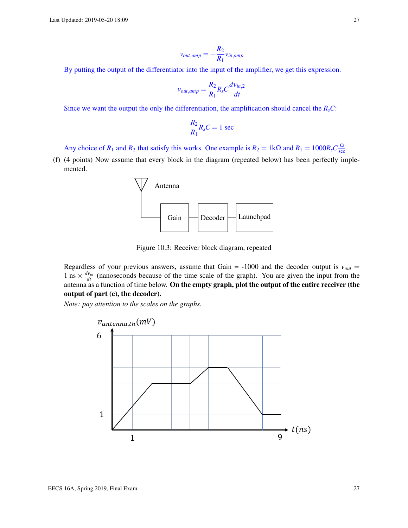$$
v_{out,amp} = -\frac{R_2}{R_1}v_{in,amp}
$$

By putting the output of the differentiator into the input of the amplifier, we get this expression.

$$
v_{out,amp} = \frac{R_2}{R_1} R_s C \frac{dv_{in,2}}{dt}
$$

Since we want the output the only the differentiation, the amplification should cancel the  $R_sC$ :

$$
\frac{R_2}{R_1}R_sC=1\,\sec
$$

Any choice of  $R_1$  and  $R_2$  that satisfy this works. One example is  $R_2 = 1 \text{k}\Omega$  and  $R_1 = 1000 R_s C \frac{\Omega}{\text{sec}}$ .

(f) (4 points) Now assume that every block in the diagram (repeated below) has been perfectly implemented.



Figure 10.3: Receiver block diagram, repeated

Regardless of your previous answers, assume that Gain =  $-1000$  and the decoder output is  $v_{out}$  = 1 ns  $\times \frac{dv_{in}}{dt}$  (nanoseconds because of the time scale of the graph). You are given the input from the antenna as a function of time below. On the empty graph, plot the output of the entire receiver (the output of part (e), the decoder).

*Note: pay attention to the scales on the graphs.*

![](_page_26_Figure_12.jpeg)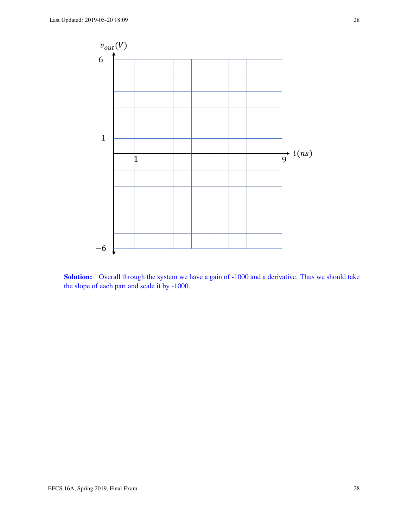![](_page_27_Figure_1.jpeg)

![](_page_27_Figure_2.jpeg)